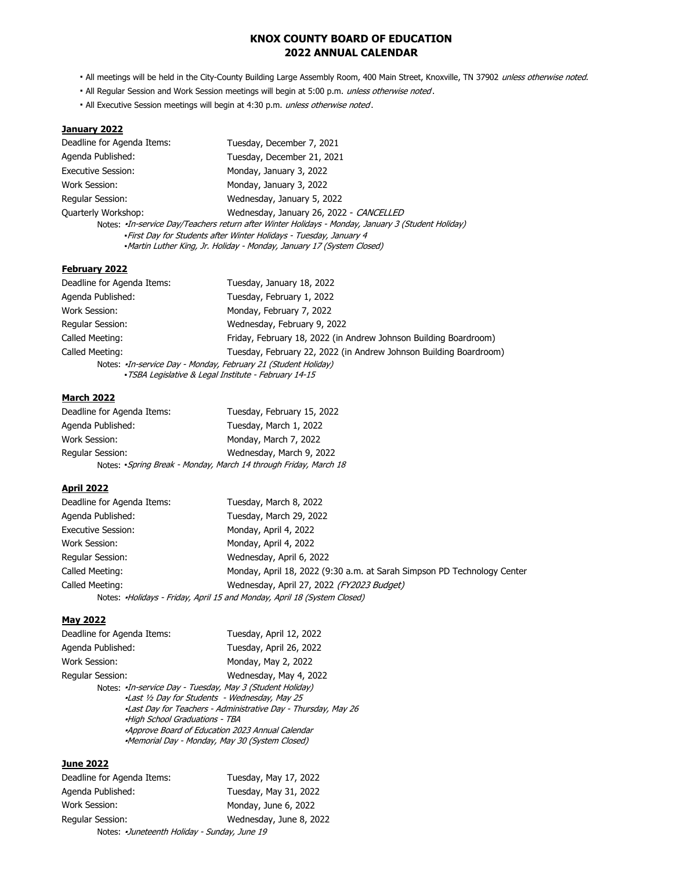## **KNOX COUNTY BOARD OF EDUCATION 2022 ANNUAL CALENDAR**

- . All meetings will be held in the City-County Building Large Assembly Room, 400 Main Street, Knoxville, TN 37902 unless otherwise noted.
- All Regular Session and Work Session meetings will begin at 5:00 p.m. unless otherwise noted.
- . All Executive Session meetings will begin at 4:30 p.m. unless otherwise noted.

#### **January 2022**

| Deadline for Agenda Items: | Tuesday, December 7, 2021                                                                                                                                                                                                                          |
|----------------------------|----------------------------------------------------------------------------------------------------------------------------------------------------------------------------------------------------------------------------------------------------|
| Agenda Published:          | Tuesday, December 21, 2021                                                                                                                                                                                                                         |
| <b>Executive Session:</b>  | Monday, January 3, 2022                                                                                                                                                                                                                            |
| Work Session:              | Monday, January 3, 2022                                                                                                                                                                                                                            |
| Regular Session:           | Wednesday, January 5, 2022                                                                                                                                                                                                                         |
| <b>Quarterly Workshop:</b> | Wednesday, January 26, 2022 - CANCELLED                                                                                                                                                                                                            |
|                            | Notes: «In-service Day/Teachers return after Winter Holidays - Monday, January 3 (Student Holiday)<br>- First Day for Students after Winter Holidays - Tuesday, January 4<br>•Martin Luther King, Jr. Holiday - Monday, January 17 (System Closed) |

### **February 2022**

| Deadline for Agenda Items: | Tuesday, January 18, 2022                                            |
|----------------------------|----------------------------------------------------------------------|
| Agenda Published:          | Tuesday, February 1, 2022                                            |
| Work Session:              | Monday, February 7, 2022                                             |
| Regular Session:           | Wednesday, February 9, 2022                                          |
| Called Meeting:            | Friday, February 18, 2022 (in Andrew Johnson Building Boardroom)     |
| Called Meeting:            | Tuesday, February 22, 2022 (in Andrew Johnson Building Boardroom)    |
|                            | Notes: <i>In-service Day - Monday, February 21 (Student Holiday)</i> |
|                            | -TSBA Legislative & Legal Institute - February 14-15                 |

### **March 2022**

| Deadline for Agenda Items: | Tuesday, February 15, 2022                                      |
|----------------------------|-----------------------------------------------------------------|
| Agenda Published:          | Tuesday, March 1, 2022                                          |
| Work Session:              | Monday, March 7, 2022                                           |
| Regular Session:           | Wednesday, March 9, 2022                                        |
|                            | Notes: Spring Break - Monday, March 14 through Friday, March 18 |

#### **April 2022**

| Deadline for Agenda Items: | Tuesday, March 8, 2022                                                   |
|----------------------------|--------------------------------------------------------------------------|
| Agenda Published:          | Tuesday, March 29, 2022                                                  |
| <b>Executive Session:</b>  | Monday, April 4, 2022                                                    |
| Work Session:              | Monday, April 4, 2022                                                    |
| Regular Session:           | Wednesday, April 6, 2022                                                 |
| Called Meeting:            | Monday, April 18, 2022 (9:30 a.m. at Sarah Simpson PD Technology Center  |
| Called Meeting:            | Wednesday, April 27, 2022 (FY2023 Budget)                                |
|                            | Notes: «Holidays - Friday, April 15 and Monday, April 18 (System Closed) |

#### **May 2022**

| Deadline for Agenda Items:                                                                                                                                                                                                  | Tuesday, April 12, 2022                                                                  |
|-----------------------------------------------------------------------------------------------------------------------------------------------------------------------------------------------------------------------------|------------------------------------------------------------------------------------------|
| Agenda Published:                                                                                                                                                                                                           | Tuesday, April 26, 2022                                                                  |
| Work Session:                                                                                                                                                                                                               | Monday, May 2, 2022                                                                      |
| Regular Session:<br>Notes: <i>In-service Day - Tuesday, May 3 (Student Holiday)</i><br>-Last 1/2 Day for Students - Wednesday, May 25<br>-High School Graduations - TBA<br>-Approve Board of Education 2023 Annual Calendar | Wednesday, May 4, 2022<br>-Last Day for Teachers - Administrative Day - Thursday, May 26 |
| -Memorial Day - Monday, May 30 (System Closed)                                                                                                                                                                              |                                                                                          |
|                                                                                                                                                                                                                             |                                                                                          |

#### **June 2022**

| Deadline for Agenda Items:                  | Tuesday, May 17, 2022   |
|---------------------------------------------|-------------------------|
| Agenda Published:                           | Tuesday, May 31, 2022   |
| Work Session:                               | Monday, June 6, 2022    |
| <b>Regular Session:</b>                     | Wednesday, June 8, 2022 |
| Notes: Juneteenth Holiday - Sunday, June 19 |                         |